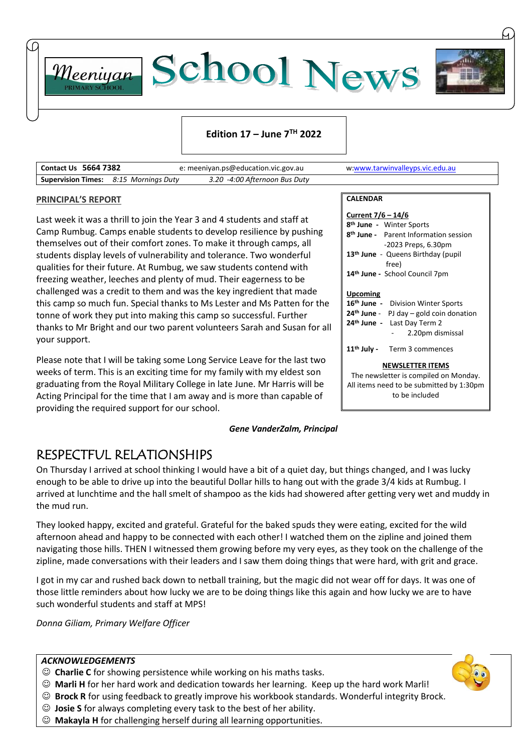

#### **Edition 17 – June 7 TH 2022**

| <b>Contact Us 5664 7382</b>                  |  | e: meeniyan.ps@education.vic.gov.au | w:www.tarwinvalleyps.vic.edu.au |
|----------------------------------------------|--|-------------------------------------|---------------------------------|
| <b>Supervision Times:</b> 8:15 Mornings Duty |  | 3.20 -4:00 Afternoon Bus Duty       |                                 |

#### **PRINCIPAL'S REPORT**

Last week it was a thrill to join the Year 3 and 4 students and staff at Camp Rumbug. Camps enable students to develop resilience by pushing themselves out of their comfort zones. To make it through camps, all students display levels of vulnerability and tolerance. Two wonderful qualities for their future. At Rumbug, we saw students contend with freezing weather, leeches and plenty of mud. Their eagerness to be challenged was a credit to them and was the key ingredient that made this camp so much fun. Special thanks to Ms Lester and Ms Patten for the tonne of work they put into making this camp so successful. Further thanks to Mr Bright and our two parent volunteers Sarah and Susan for all your support.

Please note that I will be taking some Long Service Leave for the last two weeks of term. This is an exciting time for my family with my eldest son graduating from the Royal Military College in late June. Mr Harris will be Acting Principal for the time that I am away and is more than capable of providing the required support for our school.

#### *Gene VanderZalm, Principal*

## RESPECTFUL RELATIONSHIPS

On Thursday I arrived at school thinking I would have a bit of a quiet day, but things changed, and I was lucky enough to be able to drive up into the beautiful Dollar hills to hang out with the grade 3/4 kids at Rumbug. I arrived at lunchtime and the hall smelt of shampoo as the kids had showered after getting very wet and muddy in the mud run.

They looked happy, excited and grateful. Grateful for the baked spuds they were eating, excited for the wild afternoon ahead and happy to be connected with each other! I watched them on the zipline and joined them navigating those hills. THEN I witnessed them growing before my very eyes, as they took on the challenge of the zipline, made conversations with their leaders and I saw them doing things that were hard, with grit and grace.

I got in my car and rushed back down to netball training, but the magic did not wear off for days. It was one of those little reminders about how lucky we are to be doing things like this again and how lucky we are to have such wonderful students and staff at MPS!

*Donna Giliam, Primary Welfare Officer*

#### *ACKNOWLEDGEMENTS*

- ☺ **Charlie C** for showing persistence while working on his maths tasks.
- ☺ **Marli H** for her hard work and dedication towards her learning. Keep up the hard work Marli!
- ☺ **Brock R** for using feedback to greatly improve his workbook standards. Wonderful integrity Brock.
- ☺ **Josie S** for always completing every task to the best of her ability.
- ☺ **Makayla H** for challenging herself during all learning opportunities.



| Current 7/6 – 14/6                                                                                                                                                |  |  |  |  |  |  |  |
|-------------------------------------------------------------------------------------------------------------------------------------------------------------------|--|--|--|--|--|--|--|
| 8 <sup>th</sup> June - Winter Sports                                                                                                                              |  |  |  |  |  |  |  |
| 8 <sup>th</sup> June - Parent Information session                                                                                                                 |  |  |  |  |  |  |  |
| -2023 Preps, 6.30pm                                                                                                                                               |  |  |  |  |  |  |  |
| 13 <sup>th</sup> June - Queens Birthday (pupil<br>free)                                                                                                           |  |  |  |  |  |  |  |
| 14th June - School Council 7pm                                                                                                                                    |  |  |  |  |  |  |  |
| <b>Upcoming</b><br>16th June - Division Winter Sports<br>$24th$ June - PJ day – gold coin donation<br>24 <sup>th</sup> June - Last Day Term 2<br>2.20pm dismissal |  |  |  |  |  |  |  |
| 11 <sup>th</sup> July - Term 3 commences                                                                                                                          |  |  |  |  |  |  |  |
| <b>NEWSLETTER ITEMS</b><br>The newsletter is compiled on Monday.<br>All items need to be submitted by 1:30pm<br>to be included                                    |  |  |  |  |  |  |  |

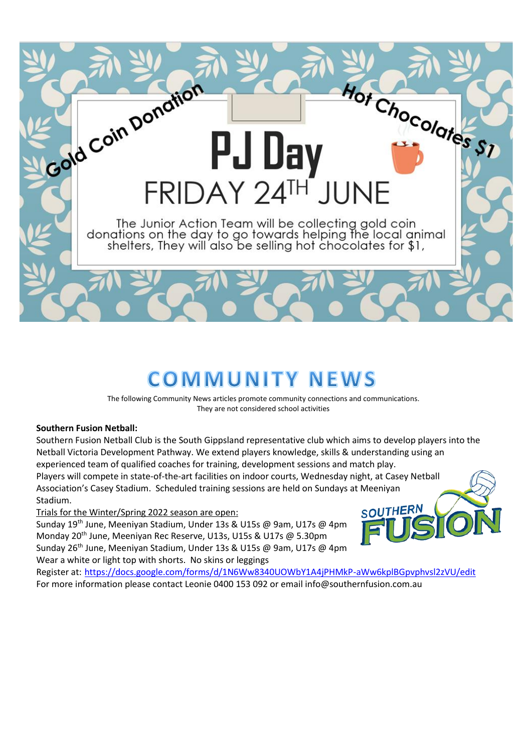

# **COMMUNITY NEWS**

The following Community News articles promote community connections and communications. They are not considered school activities

#### **Southern Fusion Netball:**

Southern Fusion Netball Club is the South Gippsland representative club which aims to develop players into the Netball Victoria Development Pathway. We extend players knowledge, skills & understanding using an experienced team of qualified coaches for training, development sessions and match play.

Players will compete in state-of-the-art facilities on indoor courts, Wednesday night, at Casey Netball Association's Casey Stadium. Scheduled training sessions are held on Sundays at Meeniyan Stadium.

Trials for the Winter/Spring 2022 season are open:

Sunday 19th June, Meeniyan Stadium, Under 13s & U15s @ 9am, U17s @ 4pm Monday 20<sup>th</sup> June, Meeniyan Rec Reserve, U13s, U15s & U17s @ 5.30pm Sunday 26<sup>th</sup> June, Meeniyan Stadium, Under 13s & U15s @ 9am, U17s @ 4pm Wear a white or light top with shorts. No skins or leggings

SOUTHERN

Register at: <https://docs.google.com/forms/d/1N6Ww8340UOWbY1A4jPHMkP-aWw6kplBGpvphvsl2zVU/edit> For more information please contact Leonie 0400 153 092 or email info@southernfusion.com.au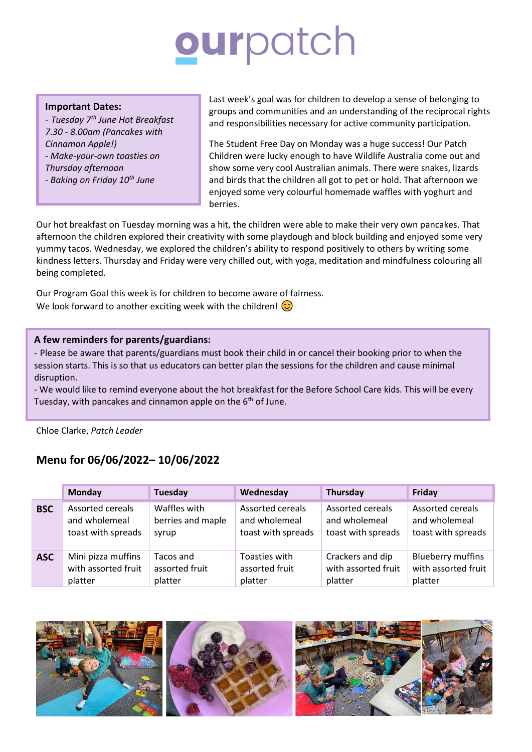# ourpatch

#### **Important Dates:**

*- Tuesday 7th June Hot Breakfast 7.30 - 8.00am (Pancakes with Cinnamon Apple!) - Make-your-own toasties on Thursday afternoon*

*- Baking on Friday 10th June*

Last week's goal was for children to develop a sense of belonging to groups and communities and an understanding of the reciprocal rights and responsibilities necessary for active community participation.

The Student Free Day on Monday was a huge success! Our Patch Children were lucky enough to have Wildlife Australia come out and show some very cool Australian animals. There were snakes, lizards and birds that the children all got to pet or hold. That afternoon we enjoyed some very colourful homemade waffles with yoghurt and berries.

Our hot breakfast on Tuesday morning was a hit, the children were able to make their very own pancakes. That afternoon the children explored their creativity with some playdough and block building and enjoyed some very yummy tacos. Wednesday, we explored the children's ability to respond positively to others by writing some kindness letters. Thursday and Friday were very chilled out, with yoga, meditation and mindfulness colouring all being completed.

Our Program Goal this week is for children to become aware of fairness. We look forward to another exciting week with the children!  $\odot$ 

#### **A few reminders for parents/guardians:**

- Please be aware that parents/guardians must book their child in or cancel their booking prior to when the session starts. This is so that us educators can better plan the sessions for the children and cause minimal disruption.

- We would like to remind everyone about the hot breakfast for the Before School Care kids. This will be every Tuesday, with pancakes and cinnamon apple on the  $6<sup>th</sup>$  of June.

Chloe Clarke, *Patch Leader*

# **Menu for 06/06/2022– 10/06/2022**

|            | Monday                  | Tuesday           | Wednesday               | <b>Thursday</b>         | Friday                   |
|------------|-------------------------|-------------------|-------------------------|-------------------------|--------------------------|
| <b>BSC</b> | <b>Assorted cereals</b> | Waffles with      | <b>Assorted cereals</b> | <b>Assorted cereals</b> | <b>Assorted cereals</b>  |
|            | and wholemeal           | berries and maple | and wholemeal           | and wholemeal           | and wholemeal            |
|            | toast with spreads      | syrup             | toast with spreads      | toast with spreads      | toast with spreads       |
| <b>ASC</b> | Mini pizza muffins      | Tacos and         | Toasties with           | Crackers and dip        | <b>Blueberry muffins</b> |
|            | with assorted fruit     | assorted fruit    | assorted fruit          | with assorted fruit     | with assorted fruit      |
|            | platter                 | platter           | platter                 | platter                 | platter                  |